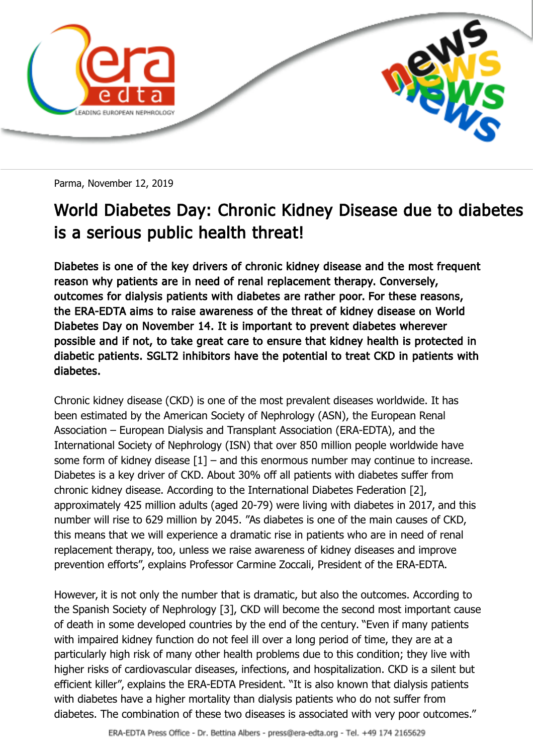

Parma, November 12, 2019

## World Diabetes Day: Chronic Kidney Disease due to diabetes is a serious public health threat!

Diabetes is one of the key drivers of chronic kidney disease and the most frequent reason why patients are in need of renal replacement therapy. Conversely, outcomes for dialysis patients with diabetes are rather poor. For these reasons, the ERA-EDTA aims to raise awareness of the threat of kidney disease on World Diabetes Day on November 14. It is important to prevent diabetes wherever possible and if not, to take great care to ensure that kidney health is protected in diabetic patients. SGLT2 inhibitors have the potential to treat CKD in patients with diabetes.

Chronic kidney disease (CKD) is one of the most prevalent diseases worldwide. It has been estimated by the American Society of Nephrology (ASN), the European Renal Association – European Dialysis and Transplant Association (ERA-EDTA), and the International Society of Nephrology (ISN) that over 850 million people worldwide have some form of kidney disease  $[1]$  – and this enormous number may continue to increase. Diabetes is a key driver of CKD. About 30% off all patients with diabetes suffer from chronic kidney disease. According to the International Diabetes Federation [2], approximately 425 million adults (aged 20-79) were living with diabetes in 2017, and this number will rise to 629 million by 2045. "As diabetes is one of the main causes of CKD, this means that we will experience a dramatic rise in patients who are in need of renal replacement therapy, too, unless we raise awareness of kidney diseases and improve prevention efforts", explains Professor Carmine Zoccali, President of the ERA-EDTA.

However, it is not only the number that is dramatic, but also the outcomes. According to the Spanish Society of Nephrology [3], CKD will become the second most important cause of death in some developed countries by the end of the century. "Even if many patients with impaired kidney function do not feel ill over a long period of time, they are at a particularly high risk of many other health problems due to this condition; they live with higher risks of cardiovascular diseases, infections, and hospitalization. CKD is a silent but efficient killer", explains the ERA-EDTA President. "It is also known that dialysis patients with diabetes have a higher mortality than dialysis patients who do not suffer from diabetes. The combination of these two diseases is associated with very poor outcomes."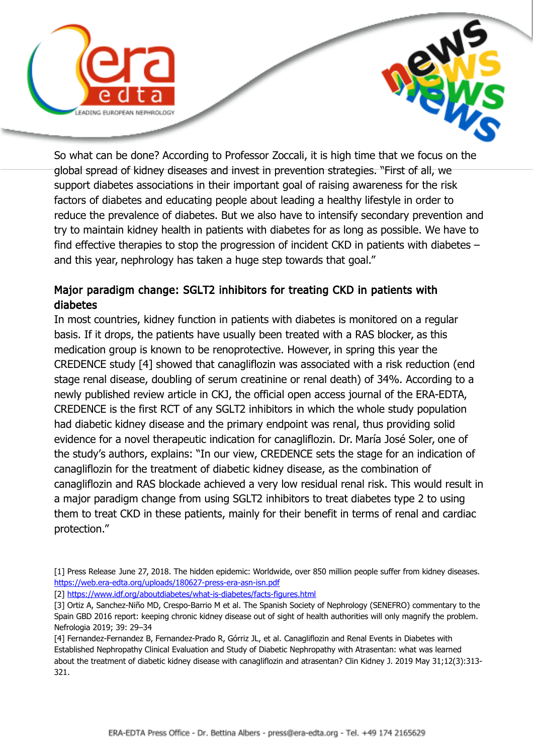



So what can be done? According to Professor Zoccali, it is high time that we focus on the global spread of kidney diseases and invest in prevention strategies. "First of all, we support diabetes associations in their important goal of raising awareness for the risk factors of diabetes and educating people about leading a healthy lifestyle in order to reduce the prevalence of diabetes. But we also have to intensify secondary prevention and try to maintain kidney health in patients with diabetes for as long as possible. We have to find effective therapies to stop the progression of incident CKD in patients with diabetes – and this year, nephrology has taken a huge step towards that goal."

## Major paradigm change: SGLT2 inhibitors for treating CKD in patients with diabetes

In most countries, kidney function in patients with diabetes is monitored on a regular basis. If it drops, the patients have usually been treated with a RAS blocker, as this medication group is known to be renoprotective. However, in spring this year the CREDENCE study [4] showed that canagliflozin was associated with a risk reduction (end stage renal disease, doubling of serum creatinine or renal death) of 34%. According to a newly published review article in CKJ, the official open access journal of the ERA-EDTA, CREDENCE is the first RCT of any SGLT2 inhibitors in which the whole study population had diabetic kidney disease and the primary endpoint was renal, thus providing solid evidence for a novel therapeutic indication for canagliflozin. Dr. María José Soler, one of the study's authors, explains: "In our view, CREDENCE sets the stage for an indication of canagliflozin for the treatment of diabetic kidney disease, as the combination of canagliflozin and RAS blockade achieved a very low residual renal risk. This would result in a major paradigm change from using SGLT2 inhibitors to treat diabetes type 2 to using them to treat CKD in these patients, mainly for their benefit in terms of renal and cardiac protection."

<sup>[1]</sup> Press Release June 27, 2018. The hidden epidemic: Worldwide, over 850 million people suffer from kidney diseases. <https://web.era-edta.org/uploads/180627-press-era-asn-isn.pdf>

<sup>[2]</sup><https://www.idf.org/aboutdiabetes/what-is-diabetes/facts-figures.html>

<sup>[3]</sup> Ortiz A, Sanchez-Niño MD, Crespo-Barrio M et al. The Spanish Society of Nephrology (SENEFRO) commentary to the Spain GBD 2016 report: keeping chronic kidney disease out of sight of health authorities will only magnify the problem. Nefrologia 2019; 39: 29–34

<sup>[4]</sup> Fernandez-Fernandez B, Fernandez-Prado R, Górriz JL, et al. Canagliflozin and Renal Events in Diabetes with Established Nephropathy Clinical Evaluation and Study of Diabetic Nephropathy with Atrasentan: what was learned about the treatment of diabetic kidney disease with canagliflozin and atrasentan? Clin Kidney J. 2019 May 31;12(3):313- 321.